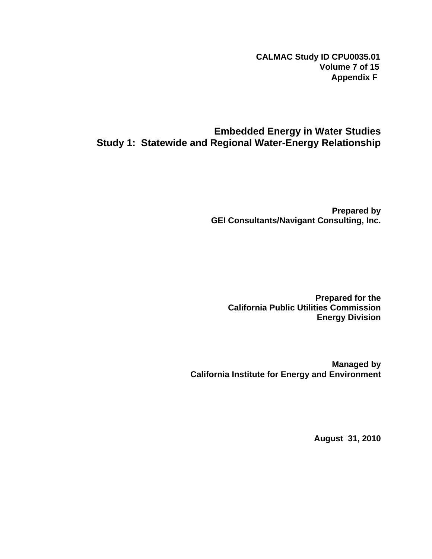**CALMAC Study ID CPU0035.01 Volume 7 of 15 Appendix F**

### **Embedded Energy in Water Studies Study 1: Statewide and Regional Water-Energy Relationship**

**Prepared by GEI Consultants/Navigant Consulting, Inc.** 

**Prepared for the California Public Utilities Commission Energy Division** 

**Managed by California Institute for Energy and Environment** 

**August 31, 2010**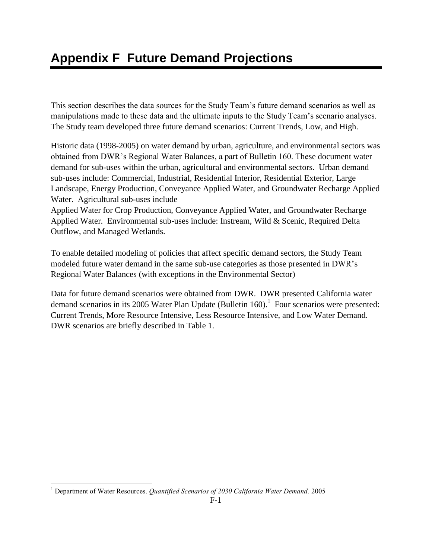# **Appendix F Future Demand Projections**

This section describes the data sources for the Study Team's future demand scenarios as well as manipulations made to these data and the ultimate inputs to the Study Team's scenario analyses. The Study team developed three future demand scenarios: Current Trends, Low, and High.

Historic data (1998-2005) on water demand by urban, agriculture, and environmental sectors was obtained from DWR's Regional Water Balances, a part of Bulletin 160. These document water demand for sub-uses within the urban, agricultural and environmental sectors. Urban demand sub-uses include: Commercial, Industrial, Residential Interior, Residential Exterior, Large Landscape, Energy Production, Conveyance Applied Water, and Groundwater Recharge Applied Water. Agricultural sub-uses include

Applied Water for Crop Production, Conveyance Applied Water, and Groundwater Recharge Applied Water. Environmental sub-uses include: Instream, Wild & Scenic, Required Delta Outflow, and Managed Wetlands.

To enable detailed modeling of policies that affect specific demand sectors, the Study Team modeled future water demand in the same sub-use categories as those presented in DWR's Regional Water Balances (with exceptions in the Environmental Sector)

Data for future demand scenarios were obtained from DWR. DWR presented California water demand scenarios in its 2005 Water Plan Update (Bulletin 160).<sup>1</sup> Four scenarios were presented: Current Trends, More Resource Intensive, Less Resource Intensive, and Low Water Demand. DWR scenarios are briefly described in [Table 1.](#page-2-0)

 $\overline{a}$ <sup>1</sup> Department of Water Resources. *Quantified Scenarios of 2030 California Water Demand.* 2005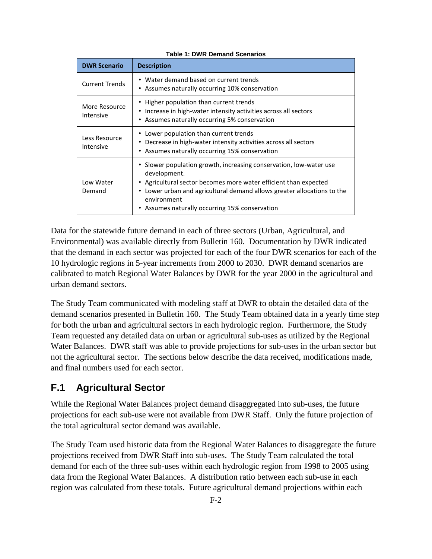<span id="page-2-0"></span>

| <b>DWR Scenario</b>        | <b>Description</b>                                                                                                                                                                                                                                                                                 |
|----------------------------|----------------------------------------------------------------------------------------------------------------------------------------------------------------------------------------------------------------------------------------------------------------------------------------------------|
| <b>Current Trends</b>      | • Water demand based on current trends<br>• Assumes naturally occurring 10% conservation                                                                                                                                                                                                           |
| More Resource<br>Intensive | • Higher population than current trends<br>• Increase in high-water intensity activities across all sectors<br>• Assumes naturally occurring 5% conservation                                                                                                                                       |
| Less Resource<br>Intensive | Lower population than current trends<br>Decrease in high-water intensity activities across all sectors<br>• Assumes naturally occurring 15% conservation                                                                                                                                           |
| Low Water<br>Demand        | • Slower population growth, increasing conservation, low-water use<br>development.<br>• Agricultural sector becomes more water efficient than expected<br>• Lower urban and agricultural demand allows greater allocations to the<br>environment<br>• Assumes naturally occurring 15% conservation |

#### **Table 1: DWR Demand Scenarios**

Data for the statewide future demand in each of three sectors (Urban, Agricultural, and Environmental) was available directly from Bulletin 160. Documentation by DWR indicated that the demand in each sector was projected for each of the four DWR scenarios for each of the 10 hydrologic regions in 5-year increments from 2000 to 2030. DWR demand scenarios are calibrated to match Regional Water Balances by DWR for the year 2000 in the agricultural and urban demand sectors.

The Study Team communicated with modeling staff at DWR to obtain the detailed data of the demand scenarios presented in Bulletin 160. The Study Team obtained data in a yearly time step for both the urban and agricultural sectors in each hydrologic region. Furthermore, the Study Team requested any detailed data on urban or agricultural sub-uses as utilized by the Regional Water Balances. DWR staff was able to provide projections for sub-uses in the urban sector but not the agricultural sector. The sections below describe the data received, modifications made, and final numbers used for each sector.

## **F.1 Agricultural Sector**

While the Regional Water Balances project demand disaggregated into sub-uses, the future projections for each sub-use were not available from DWR Staff. Only the future projection of the total agricultural sector demand was available.

The Study Team used historic data from the Regional Water Balances to disaggregate the future projections received from DWR Staff into sub-uses. The Study Team calculated the total demand for each of the three sub-uses within each hydrologic region from 1998 to 2005 using data from the Regional Water Balances. A distribution ratio between each sub-use in each region was calculated from these totals. Future agricultural demand projections within each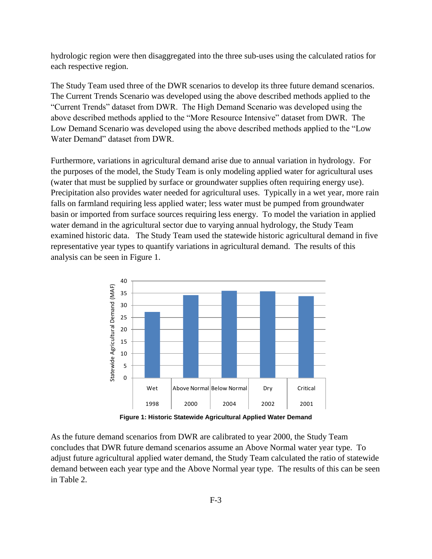hydrologic region were then disaggregated into the three sub-uses using the calculated ratios for each respective region.

The Study Team used three of the DWR scenarios to develop its three future demand scenarios. The Current Trends Scenario was developed using the above described methods applied to the "Current Trends" dataset from DWR. The High Demand Scenario was developed using the above described methods applied to the "More Resource Intensive" dataset from DWR. The Low Demand Scenario was developed using the above described methods applied to the "Low Water Demand" dataset from DWR.

Furthermore, variations in agricultural demand arise due to annual variation in hydrology. For the purposes of the model, the Study Team is only modeling applied water for agricultural uses (water that must be supplied by surface or groundwater supplies often requiring energy use). Precipitation also provides water needed for agricultural uses. Typically in a wet year, more rain falls on farmland requiring less applied water; less water must be pumped from groundwater basin or imported from surface sources requiring less energy. To model the variation in applied water demand in the agricultural sector due to varying annual hydrology, the Study Team examined historic data. The Study Team used the statewide historic agricultural demand in five representative year types to quantify variations in agricultural demand. The results of this analysis can be seen in [Figure 1.](#page-3-0)



**Figure 1: Historic Statewide Agricultural Applied Water Demand**

<span id="page-3-0"></span>As the future demand scenarios from DWR are calibrated to year 2000, the Study Team concludes that DWR future demand scenarios assume an Above Normal water year type. To adjust future agricultural applied water demand, the Study Team calculated the ratio of statewide demand between each year type and the Above Normal year type. The results of this can be seen in [Table 2.](#page-4-0)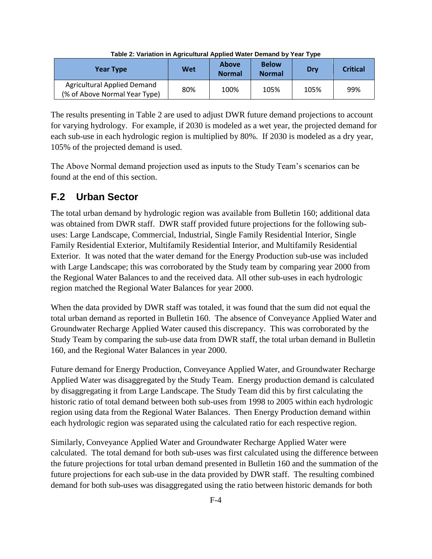<span id="page-4-0"></span>

| <b>Year Type</b>                                                    | Wet | Above<br><b>Normal</b> | <b>Below</b><br><b>Normal</b> | Drv  | <b>Critical</b> |
|---------------------------------------------------------------------|-----|------------------------|-------------------------------|------|-----------------|
| <b>Agricultural Applied Demand</b><br>(% of Above Normal Year Type) | 80% | 100%                   | 105%                          | 105% | 99%             |

**Table 2: Variation in Agricultural Applied Water Demand by Year Type**

The results presenting in [Table 2](#page-4-0) are used to adjust DWR future demand projections to account for varying hydrology. For example, if 2030 is modeled as a wet year, the projected demand for each sub-use in each hydrologic region is multiplied by 80%. If 2030 is modeled as a dry year, 105% of the projected demand is used.

The Above Normal demand projection used as inputs to the Study Team's scenarios can be found at the end of this section.

# **F.2 Urban Sector**

The total urban demand by hydrologic region was available from Bulletin 160; additional data was obtained from DWR staff. DWR staff provided future projections for the following subuses: Large Landscape, Commercial, Industrial, Single Family Residential Interior, Single Family Residential Exterior, Multifamily Residential Interior, and Multifamily Residential Exterior. It was noted that the water demand for the Energy Production sub-use was included with Large Landscape; this was corroborated by the Study team by comparing year 2000 from the Regional Water Balances to and the received data. All other sub-uses in each hydrologic region matched the Regional Water Balances for year 2000.

When the data provided by DWR staff was totaled, it was found that the sum did not equal the total urban demand as reported in Bulletin 160. The absence of Conveyance Applied Water and Groundwater Recharge Applied Water caused this discrepancy. This was corroborated by the Study Team by comparing the sub-use data from DWR staff, the total urban demand in Bulletin 160, and the Regional Water Balances in year 2000.

Future demand for Energy Production, Conveyance Applied Water, and Groundwater Recharge Applied Water was disaggregated by the Study Team. Energy production demand is calculated by disaggregating it from Large Landscape. The Study Team did this by first calculating the historic ratio of total demand between both sub-uses from 1998 to 2005 within each hydrologic region using data from the Regional Water Balances. Then Energy Production demand within each hydrologic region was separated using the calculated ratio for each respective region.

Similarly, Conveyance Applied Water and Groundwater Recharge Applied Water were calculated. The total demand for both sub-uses was first calculated using the difference between the future projections for total urban demand presented in Bulletin 160 and the summation of the future projections for each sub-use in the data provided by DWR staff. The resulting combined demand for both sub-uses was disaggregated using the ratio between historic demands for both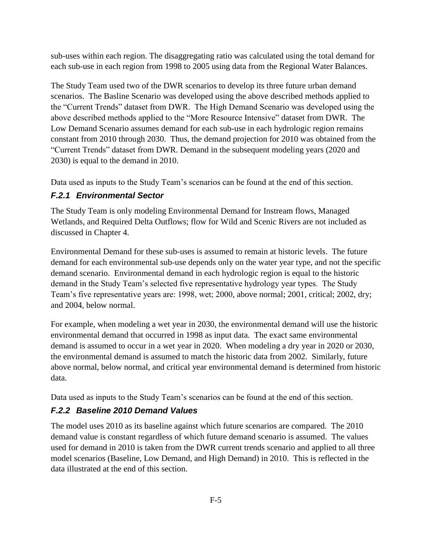sub-uses within each region. The disaggregating ratio was calculated using the total demand for each sub-use in each region from 1998 to 2005 using data from the Regional Water Balances.

The Study Team used two of the DWR scenarios to develop its three future urban demand scenarios. The Basline Scenario was developed using the above described methods applied to the "Current Trends" dataset from DWR. The High Demand Scenario was developed using the above described methods applied to the "More Resource Intensive" dataset from DWR. The Low Demand Scenario assumes demand for each sub-use in each hydrologic region remains constant from 2010 through 2030. Thus, the demand projection for 2010 was obtained from the "Current Trends" dataset from DWR. Demand in the subsequent modeling years (2020 and 2030) is equal to the demand in 2010.

Data used as inputs to the Study Team's scenarios can be found at the end of this section.

### *F.2.1 Environmental Sector*

The Study Team is only modeling Environmental Demand for Instream flows, Managed Wetlands, and Required Delta Outflows; flow for Wild and Scenic Rivers are not included as discussed in Chapter 4.

Environmental Demand for these sub-uses is assumed to remain at historic levels. The future demand for each environmental sub-use depends only on the water year type, and not the specific demand scenario. Environmental demand in each hydrologic region is equal to the historic demand in the Study Team's selected five representative hydrology year types. The Study Team's five representative years are: 1998, wet; 2000, above normal; 2001, critical; 2002, dry; and 2004, below normal.

For example, when modeling a wet year in 2030, the environmental demand will use the historic environmental demand that occurred in 1998 as input data. The exact same environmental demand is assumed to occur in a wet year in 2020. When modeling a dry year in 2020 or 2030, the environmental demand is assumed to match the historic data from 2002. Similarly, future above normal, below normal, and critical year environmental demand is determined from historic data.

Data used as inputs to the Study Team's scenarios can be found at the end of this section.

### *F.2.2 Baseline 2010 Demand Values*

The model uses 2010 as its baseline against which future scenarios are compared. The 2010 demand value is constant regardless of which future demand scenario is assumed. The values used for demand in 2010 is taken from the DWR current trends scenario and applied to all three model scenarios (Baseline, Low Demand, and High Demand) in 2010. This is reflected in the data illustrated at the end of this section.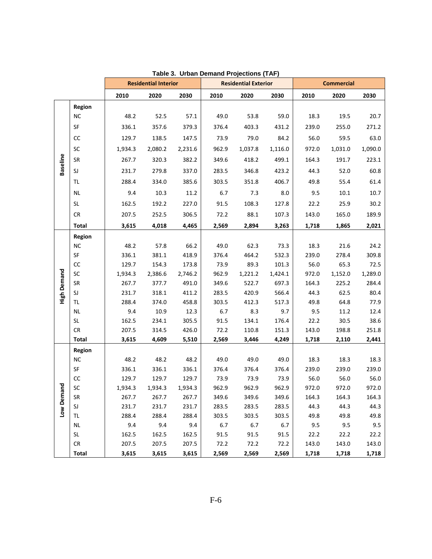|                    |               |         | <b>Residential Interior</b> |         | <b>Residential Exterior</b> |         |         | <b>Commercial</b> |         |         |
|--------------------|---------------|---------|-----------------------------|---------|-----------------------------|---------|---------|-------------------|---------|---------|
|                    |               | 2010    | 2020                        | 2030    | 2010                        | 2020    | 2030    | 2010              | 2020    | 2030    |
|                    | Region        |         |                             |         |                             |         |         |                   |         |         |
|                    | <b>NC</b>     | 48.2    | 52.5                        | 57.1    | 49.0                        | 53.8    | 59.0    | 18.3              | 19.5    | 20.7    |
|                    | SF            | 336.1   | 357.6                       | 379.3   | 376.4                       | 403.3   | 431.2   | 239.0             | 255.0   | 271.2   |
|                    | cc            | 129.7   | 138.5                       | 147.5   | 73.9                        | 79.0    | 84.2    | 56.0              | 59.5    | 63.0    |
|                    | SC            | 1,934.3 | 2,080.2                     | 2,231.6 | 962.9                       | 1,037.8 | 1,116.0 | 972.0             | 1,031.0 | 1,090.0 |
|                    | SR            | 267.7   | 320.3                       | 382.2   | 349.6                       | 418.2   | 499.1   | 164.3             | 191.7   | 223.1   |
| <b>Baseline</b>    | SJ            | 231.7   | 279.8                       | 337.0   | 283.5                       | 346.8   | 423.2   | 44.3              | 52.0    | 60.8    |
|                    | <b>TL</b>     | 288.4   | 334.0                       | 385.6   | 303.5                       | 351.8   | 406.7   | 49.8              | 55.4    | 61.4    |
|                    | <b>NL</b>     | 9.4     | 10.3                        | 11.2    | 6.7                         | 7.3     | 8.0     | 9.5               | 10.1    | 10.7    |
|                    | SL            | 162.5   | 192.2                       | 227.0   | 91.5                        | 108.3   | 127.8   | 22.2              | 25.9    | 30.2    |
|                    | <b>CR</b>     | 207.5   | 252.5                       | 306.5   | 72.2                        | 88.1    | 107.3   | 143.0             | 165.0   | 189.9   |
|                    | <b>Total</b>  | 3,615   | 4,018                       | 4,465   | 2,569                       | 2,894   | 3,263   | 1,718             | 1,865   | 2,021   |
|                    | Region        |         |                             |         |                             |         |         |                   |         |         |
|                    | <b>NC</b>     | 48.2    | 57.8                        | 66.2    | 49.0                        | 62.3    | 73.3    | 18.3              | 21.6    | 24.2    |
|                    | SF            | 336.1   | 381.1                       | 418.9   | 376.4                       | 464.2   | 532.3   | 239.0             | 278.4   | 309.8   |
|                    | cc            | 129.7   | 154.3                       | 173.8   | 73.9                        | 89.3    | 101.3   | 56.0              | 65.3    | 72.5    |
| <b>High Demand</b> | SC            | 1,934.3 | 2,386.6                     | 2,746.2 | 962.9                       | 1,221.2 | 1,424.1 | 972.0             | 1,152.0 | 1,289.0 |
|                    | SR            | 267.7   | 377.7                       | 491.0   | 349.6                       | 522.7   | 697.3   | 164.3             | 225.2   | 284.4   |
|                    | SJ            | 231.7   | 318.1                       | 411.2   | 283.5                       | 420.9   | 566.4   | 44.3              | 62.5    | 80.4    |
|                    | TL            | 288.4   | 374.0                       | 458.8   | 303.5                       | 412.3   | 517.3   | 49.8              | 64.8    | 77.9    |
|                    | <b>NL</b>     | 9.4     | 10.9                        | 12.3    | 6.7                         | 8.3     | 9.7     | 9.5               | 11.2    | 12.4    |
|                    | SL            | 162.5   | 234.1                       | 305.5   | 91.5                        | 134.1   | 176.4   | 22.2              | 30.5    | 38.6    |
|                    | CR            | 207.5   | 314.5                       | 426.0   | 72.2                        | 110.8   | 151.3   | 143.0             | 198.8   | 251.8   |
|                    | <b>Total</b>  | 3,615   | 4,609                       | 5,510   | 2,569                       | 3,446   | 4,249   | 1,718             | 2,110   | 2,441   |
|                    | <b>Region</b> |         |                             |         |                             |         |         |                   |         |         |
|                    | <b>NC</b>     | 48.2    | 48.2                        | 48.2    | 49.0                        | 49.0    | 49.0    | 18.3              | 18.3    | 18.3    |
|                    | SF            | 336.1   | 336.1                       | 336.1   | 376.4                       | 376.4   | 376.4   | 239.0             | 239.0   | 239.0   |
|                    | CC            | 129.7   | 129.7                       | 129.7   | 73.9                        | 73.9    | 73.9    | 56.0              | 56.0    | 56.0    |
| and                | SC            | 1,934.3 | 1,934.3                     | 1,934.3 | 962.9                       | 962.9   | 962.9   | 972.0             | 972.0   | 972.0   |
|                    | SR            | 267.7   | 267.7                       | 267.7   | 349.6                       | 349.6   | 349.6   | 164.3             | 164.3   | 164.3   |
| Low Dem            | SJ            | 231.7   | 231.7                       | 231.7   | 283.5                       | 283.5   | 283.5   | 44.3              | 44.3    | 44.3    |
|                    | TL.           | 288.4   | 288.4                       | 288.4   | 303.5                       | 303.5   | 303.5   | 49.8              | 49.8    | 49.8    |
|                    | <b>NL</b>     | 9.4     | 9.4                         | 9.4     | $6.7\,$                     | 6.7     | 6.7     | 9.5               | 9.5     | 9.5     |
|                    | SL            | 162.5   | 162.5                       | 162.5   | 91.5                        | 91.5    | 91.5    | 22.2              | 22.2    | 22.2    |
|                    | ${\sf CR}$    | 207.5   | 207.5                       | 207.5   | 72.2                        | 72.2    | 72.2    | 143.0             | 143.0   | 143.0   |
|                    | <b>Total</b>  | 3,615   | 3,615                       | 3,615   | 2,569                       | 2,569   | 2,569   | 1,718             | 1,718   | 1,718   |

| Table 3. Urban Demand Projections (TAF) |  |
|-----------------------------------------|--|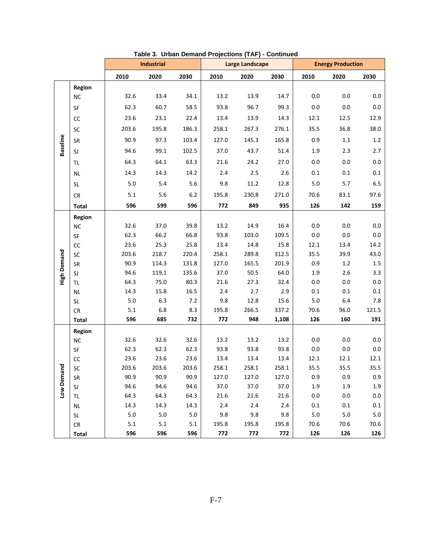|                    |                     |             | <b>Industrial</b> |             | Large Landscape |                | <b>Energy Production</b> |                |                    |            |
|--------------------|---------------------|-------------|-------------------|-------------|-----------------|----------------|--------------------------|----------------|--------------------|------------|
|                    |                     | 2010        | 2020              | 2030        | 2010            | 2020           | 2030                     | 2010           | 2020               | 2030       |
|                    | Region              |             |                   |             |                 |                |                          |                |                    |            |
|                    | <b>NC</b>           | 32.6        | 33.4              | 34.1        | 13.2            | 13.9           | 14.7                     | 0.0            | 0.0                | 0.0        |
|                    | SF                  | 62.3        | 60.7              | 58.5        | 93.8            | 96.7           | 99.3                     | 0.0            | 0.0                | $0.0\,$    |
|                    | cc                  | 23.6        | 23.1              | 22.4        | 13.4            | 13.9           | 14.3                     | 12.1           | 12.5               | 12.9       |
|                    | SC                  | 203.6       | 195.8             | 186.3       | 258.1           | 267.3          | 276.1                    | 35.5           | 36.8               | 38.0       |
|                    | SR                  | 90.9        | 97.3              | 103.4       | 127.0           | 145.3          | 165.8                    | 0.9            | 1.1                | $1.2\,$    |
| <b>Baseline</b>    | SJ                  | 94.6        | 99.1              | 102.5       | 37.0            | 43.7           | 51.4                     | 1.9            | 2.3                | 2.7        |
|                    | TL.                 | 64.3        | 64.1              | 63.3        | 21.6            | 24.2           | 27.0                     | 0.0            | 0.0                | 0.0        |
|                    | <b>NL</b>           | 14.3        | 14.3              | 14.2        | 2.4             | 2.5            | 2.6                      | 0.1            | 0.1                | 0.1        |
|                    | SL                  | 5.0         | 5.4               | 5.6         | 9.8             | 11.2           | 12.8                     | 5.0            | 5.7                | 6.5        |
|                    | <b>CR</b>           | 5.1         | 5.6               | 6.2         | 195.8           | 230.8          | 271.0                    | 70.6           | 83.1               | 97.6       |
|                    | <b>Total</b>        | 596         | 599               | 596         | 772             | 849            | 935                      | 126            | 142                | 159        |
|                    |                     |             |                   |             |                 |                |                          |                |                    |            |
|                    | Region<br><b>NC</b> | 32.6        | 37.0              | 39.8        | 13.2            | 14.9           | 16.4                     | 0.0            | 0.0                | 0.0        |
|                    | SF                  | 62.3        | 66.2              | 66.8        | 93.8            | 103.0          | 109.5                    | 0.0            | $0.0\,$            | 0.0        |
|                    | $\mathsf{CC}$       | 23.6        | 25.3              | 25.8        | 13.4            | 14.8           | 15.8                     | 12.1           | 13.4               | 14.2       |
|                    | SC                  | 203.6       | 218.7             | 220.4       | 258.1           | 289.8          | 312.5                    | 35.5           | 39.9               | 43.0       |
| <b>High Demand</b> | SR                  | 90.9        | 114.3             | 131.8       | 127.0           | 165.5          | 201.9                    | 0.9            | 1.2                | $1.5\,$    |
|                    | SJ                  | 94.6        | 119.1             | 135.6       | 37.0            | 50.5           | 64.0                     | 1.9            | 2.6                | 3.3        |
|                    | TL.                 | 64.3        | 75.0              | 80.3        | 21.6            | 27.3           | 32.4                     | 0.0            | 0.0                | 0.0        |
|                    | <b>NL</b>           | 14.3        | 15.8              | 16.5        | 2.4             | 2.7            | 2.9                      | 0.1            | 0.1                | 0.1        |
|                    | SL                  | $5.0\,$     | 6.3               | 7.2         | 9.8             | 12.8           | 15.6                     | $5.0\,$        | $6.4\,$            | 7.8        |
|                    | CR                  | 5.1         | 6.8               | 8.3         | 195.8           | 266.5          | 337.2                    | 70.6           | 96.0               | 121.5      |
|                    | <b>Total</b>        | 596         | 685               | 732         | 772             | 948            | 1,108                    | 126            | 160                | 191        |
|                    | Region              |             |                   |             |                 |                |                          |                |                    |            |
|                    | <b>NC</b>           | 32.6        | 32.6              | 32.6        | 13.2            | 13.2           | 13.2                     | 0.0            | 0.0                | $0.0\,$    |
|                    | SF                  | 62.3        | 62.3              | 62.3        | 93.8            | 93.8           | 93.8                     | 0.0            | $0.0\,$            | 0.0        |
|                    | cc                  | 23.6        | 23.6              | 23.6        | 13.4            | 13.4           | 13.4                     | 12.1           | 12.1               | 12.1       |
| nand               | SC                  | 203.6       | 203.6             | 203.6       | 258.1           | 258.1          | 258.1                    | 35.5           | 35.5               | 35.5       |
|                    | SR.                 | 90.9        | 90.9              | 90.9        | 127.0           | 127.0          | 127.0                    | $0.9\,$        | $0.9\,$            | 0.9        |
| Low Den            | SJ                  | 94.6        | 94.6              | 94.6        | 37.0            | 37.0           | 37.0                     | 1.9            | 1.9                | 1.9        |
|                    | TL                  | 64.3        | 64.3              | 64.3        | 21.6<br>2.4     | 21.6           | 21.6                     | 0.0            | $0.0\,$<br>$0.1\,$ | 0.0        |
|                    | <b>NL</b>           | 14.3<br>5.0 | 14.3<br>$5.0\,$   | 14.3<br>5.0 | 9.8             | 2.4<br>$9.8\,$ | 2.4<br>9.8               | 0.1<br>$5.0\,$ | $5.0\,$            | 0.1<br>5.0 |
|                    | SL<br>${\sf CR}$    | 5.1         | 5.1               | 5.1         | 195.8           | 195.8          | 195.8                    | 70.6           | 70.6               | 70.6       |
|                    | <b>Total</b>        | 596         | 596               | 596         | 772             | 772            | 772                      | 126            | 126                | 126        |

#### **Table 3. Urban Demand Projections (TAF) - Continued**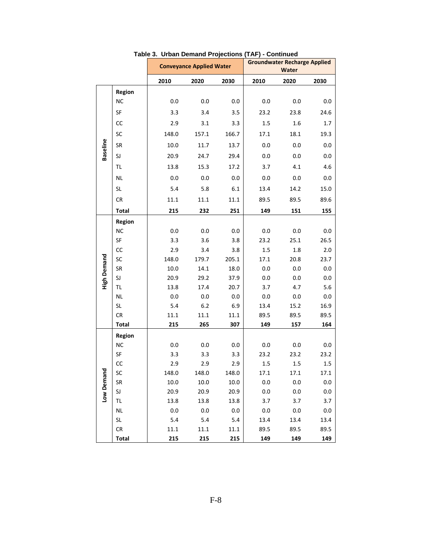|                    |               |         | <b>Conveyance Applied Water</b> |         |         | <b>Groundwater Recharge Applied</b><br>Water |         |
|--------------------|---------------|---------|---------------------------------|---------|---------|----------------------------------------------|---------|
|                    |               | 2010    | 2020                            | 2030    | 2010    | 2020                                         | 2030    |
|                    | Region        |         |                                 |         |         |                                              |         |
|                    | <b>NC</b>     | 0.0     | 0.0                             | 0.0     | 0.0     | 0.0                                          | 0.0     |
|                    | SF            | 3.3     | 3.4                             | 3.5     | 23.2    | 23.8                                         | 24.6    |
| <b>Baseline</b>    | CC            | 2.9     | 3.1                             | 3.3     | 1.5     | 1.6                                          | 1.7     |
|                    | SC            | 148.0   | 157.1                           | 166.7   | 17.1    | 18.1                                         | 19.3    |
|                    | SR            | 10.0    | 11.7                            | 13.7    | 0.0     | 0.0                                          | 0.0     |
|                    | SJ            | 20.9    | 24.7                            | 29.4    | 0.0     | 0.0                                          | 0.0     |
|                    | TL.           | 13.8    | 15.3                            | 17.2    | 3.7     | 4.1                                          | 4.6     |
|                    | <b>NL</b>     | 0.0     | 0.0                             | 0.0     | 0.0     | 0.0                                          | 0.0     |
|                    | SL            | 5.4     | 5.8                             | 6.1     | 13.4    | 14.2                                         | 15.0    |
|                    | CR            | 11.1    | 11.1                            | 11.1    | 89.5    | 89.5                                         | 89.6    |
|                    | <b>Total</b>  | 215     | 232                             | 251     | 149     | 151                                          | 155     |
|                    | <b>Region</b> |         |                                 |         |         |                                              |         |
|                    | NC            | 0.0     | 0.0                             | 0.0     | 0.0     | 0.0                                          | 0.0     |
|                    | SF            | 3.3     | 3.6                             | 3.8     | 23.2    | 25.1                                         | 26.5    |
|                    | cc            | 2.9     | 3.4                             | 3.8     | 1.5     | 1.8                                          | $2.0\,$ |
|                    | SC            | 148.0   | 179.7                           | 205.1   | 17.1    | 20.8                                         | 23.7    |
| <b>High Demand</b> | <b>SR</b>     | 10.0    | 14.1                            | 18.0    | 0.0     | 0.0                                          | 0.0     |
|                    | SJ            | 20.9    | 29.2                            | 37.9    | 0.0     | 0.0                                          | 0.0     |
|                    | TL            | 13.8    | 17.4                            | 20.7    | 3.7     | 4.7                                          | 5.6     |
|                    | <b>NL</b>     | 0.0     | 0.0                             | 0.0     | 0.0     | 0.0                                          | $0.0\,$ |
|                    | SL            | 5.4     | 6.2                             | 6.9     | 13.4    | 15.2                                         | 16.9    |
|                    | CR            | 11.1    | 11.1                            | 11.1    | 89.5    | 89.5                                         | 89.5    |
|                    | Total         | 215     | 265                             | 307     | 149     | 157                                          | 164     |
|                    | Region        |         |                                 |         |         |                                              |         |
|                    | <b>NC</b>     | 0.0     | 0.0                             | 0.0     | 0.0     | 0.0                                          | 0.0     |
|                    | SF            | 3.3     | 3.3                             | 3.3     | 23.2    | 23.2                                         | 23.2    |
|                    | cc            | 2.9     | 2.9                             | 2.9     | 1.5     | 1.5                                          | 1.5     |
| 뎥                  | SC            | 148.0   | 148.0                           | 148.0   | 17.1    | 17.1                                         | 17.1    |
| Low Dema           | SR            | 10.0    | 10.0                            | 10.0    | $0.0\,$ | $0.0\,$                                      | $0.0\,$ |
|                    | SJ            | 20.9    | 20.9                            | 20.9    | $0.0\,$ | $0.0\,$                                      | $0.0\,$ |
|                    | TL            | 13.8    | 13.8                            | 13.8    | 3.7     | 3.7                                          | 3.7     |
|                    | <b>NL</b>     | $0.0\,$ | 0.0                             | $0.0\,$ | 0.0     | 0.0                                          | 0.0     |
|                    | SL            | 5.4     | 5.4                             | 5.4     | 13.4    | 13.4                                         | 13.4    |
|                    | CR            | 11.1    | 11.1                            | 11.1    | 89.5    | 89.5                                         | 89.5    |
|                    | <b>Total</b>  | 215     | 215                             | 215     | 149     | 149                                          | 149     |

**Table 3. Urban Demand Projections (TAF) - Continued**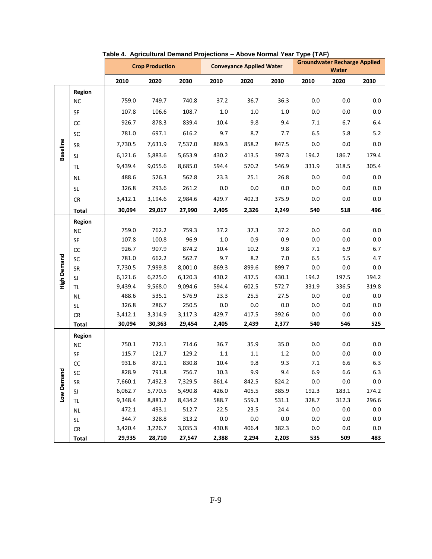|                    |               |         | <b>Crop Production</b> |         | <b>Conveyance Applied Water</b> |         |         | <b>Groundwater Recharge Applied</b><br>Water |         |         |
|--------------------|---------------|---------|------------------------|---------|---------------------------------|---------|---------|----------------------------------------------|---------|---------|
|                    |               | 2010    | 2020                   | 2030    | 2010                            | 2020    | 2030    | 2010                                         | 2020    | 2030    |
|                    | Region        |         |                        |         |                                 |         |         |                                              |         |         |
|                    | <b>NC</b>     | 759.0   | 749.7                  | 740.8   | 37.2                            | 36.7    | 36.3    | $0.0\,$                                      | 0.0     | 0.0     |
|                    | SF            | 107.8   | 106.6                  | 108.7   | $1.0\,$                         | $1.0\,$ | $1.0\,$ | 0.0                                          | 0.0     | 0.0     |
|                    | CC            | 926.7   | 878.3                  | 839.4   | 10.4                            | 9.8     | 9.4     | 7.1                                          | 6.7     | 6.4     |
|                    | SC            | 781.0   | 697.1                  | 616.2   | 9.7                             | 8.7     | 7.7     | 6.5                                          | 5.8     | 5.2     |
|                    | SR            | 7,730.5 | 7,631.9                | 7,537.0 | 869.3                           | 858.2   | 847.5   | 0.0                                          | 0.0     | 0.0     |
| <b>Baseline</b>    | SJ            | 6,121.6 | 5,883.6                | 5,653.9 | 430.2                           | 413.5   | 397.3   | 194.2                                        | 186.7   | 179.4   |
|                    | TL            | 9,439.4 | 9,055.6                | 8,685.0 | 594.4                           | 570.2   | 546.9   | 331.9                                        | 318.5   | 305.4   |
|                    | <b>NL</b>     | 488.6   | 526.3                  | 562.8   | 23.3                            | 25.1    | 26.8    | 0.0                                          | 0.0     | 0.0     |
|                    | SL            | 326.8   | 293.6                  | 261.2   | 0.0                             | 0.0     | 0.0     | 0.0                                          | 0.0     | 0.0     |
|                    | <b>CR</b>     | 3,412.1 | 3,194.6                | 2,984.6 | 429.7                           | 402.3   | 375.9   | 0.0                                          | 0.0     | 0.0     |
|                    | <b>Total</b>  | 30,094  | 29,017                 | 27,990  | 2,405                           | 2,326   | 2,249   | 540                                          | 518     | 496     |
|                    | <b>Region</b> |         |                        |         |                                 |         |         |                                              |         |         |
|                    | <b>NC</b>     | 759.0   | 762.2                  | 759.3   | 37.2                            | 37.3    | 37.2    | 0.0                                          | 0.0     | 0.0     |
|                    | SF            | 107.8   | 100.8                  | 96.9    | $1.0\,$                         | 0.9     | 0.9     | 0.0                                          | 0.0     | $0.0\,$ |
|                    | $\mathsf{CC}$ | 926.7   | 907.9                  | 874.2   | 10.4                            | 10.2    | 9.8     | 7.1                                          | 6.9     | 6.7     |
|                    | SC            | 781.0   | 662.2                  | 562.7   | 9.7                             | 8.2     | 7.0     | 6.5                                          | 5.5     | 4.7     |
| <b>High Demand</b> | <b>SR</b>     | 7,730.5 | 7,999.8                | 8,001.0 | 869.3                           | 899.6   | 899.7   | 0.0                                          | $0.0\,$ | 0.0     |
|                    | SJ            | 6,121.6 | 6,225.0                | 6,120.3 | 430.2                           | 437.5   | 430.1   | 194.2                                        | 197.5   | 194.2   |
|                    | TL.           | 9,439.4 | 9,568.0                | 9,094.6 | 594.4                           | 602.5   | 572.7   | 331.9                                        | 336.5   | 319.8   |
|                    | <b>NL</b>     | 488.6   | 535.1                  | 576.9   | 23.3                            | 25.5    | 27.5    | 0.0                                          | 0.0     | 0.0     |
|                    | SL            | 326.8   | 286.7                  | 250.5   | 0.0                             | 0.0     | 0.0     | 0.0                                          | 0.0     | 0.0     |
|                    | <b>CR</b>     | 3,412.1 | 3,314.9                | 3,117.3 | 429.7                           | 417.5   | 392.6   | 0.0                                          | 0.0     | 0.0     |
|                    | Total         | 30,094  | 30,363                 | 29,454  | 2,405                           | 2,439   | 2,377   | 540                                          | 546     | 525     |
|                    | Region        |         |                        |         |                                 |         |         |                                              |         |         |
|                    | <b>NC</b>     | 750.1   | 732.1                  | 714.6   | 36.7                            | 35.9    | 35.0    | 0.0                                          | 0.0     | 0.0     |
|                    | SF            | 115.7   | 121.7                  | 129.2   | $1.1\,$                         | 1.1     | 1.2     | $0.0\,$                                      | 0.0     | 0.0     |
|                    | cc            | 931.6   | 872.1                  | 830.8   | 10.4                            | 9.8     | 9.3     | 7.1                                          | 6.6     | 6.3     |
| 힡                  | ${\sf SC}$    | 828.9   | 791.8                  | 756.7   | 10.3                            | 9.9     | 9.4     | 6.9                                          | 6.6     | 6.3     |
|                    | SR            | 7,660.1 | 7,492.3                | 7,329.5 | 861.4                           | 842.5   | 824.2   | $0.0\,$                                      | $0.0\,$ | $0.0\,$ |
| Low Dema           | SJ            | 6,062.7 | 5,770.5                | 5,490.8 | 426.0                           | 405.5   | 385.9   | 192.3                                        | 183.1   | 174.2   |
|                    | TL            | 9,348.4 | 8,881.2                | 8,434.2 | 588.7                           | 559.3   | 531.1   | 328.7                                        | 312.3   | 296.6   |
|                    | <b>NL</b>     | 472.1   | 493.1                  | 512.7   | 22.5                            | 23.5    | 24.4    | 0.0                                          | $0.0\,$ | $0.0\,$ |
|                    | SL            | 344.7   | 328.8                  | 313.2   | $0.0\,$                         | $0.0\,$ | $0.0\,$ | 0.0                                          | $0.0\,$ | $0.0\,$ |
|                    | CR            | 3,420.4 | 3,226.7                | 3,035.3 | 430.8                           | 406.4   | 382.3   | $0.0\,$                                      | $0.0\,$ | $0.0\,$ |
|                    | <b>Total</b>  | 29,935  | 28,710                 | 27,547  | 2,388                           | 2,294   | 2,203   | 535                                          | 509     | 483     |

#### **Table 4. Agricultural Demand Projections – Above Normal Year Type (TAF)**